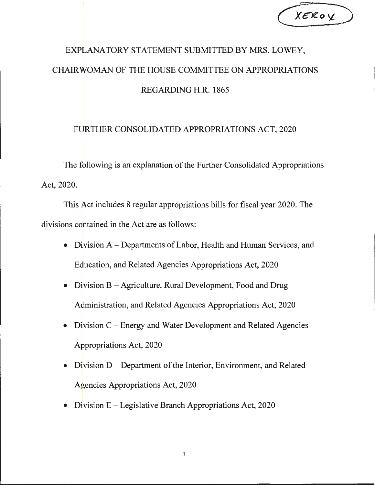| XEROY |  |
|-------|--|
|       |  |

## EXPLANATORY STATEMENT SUBMITTED BY MRS. LOWEY, CHAIRWOMAN OF THE HOUSE COMMITTEE ON APPROPRIATIONS REGARDING H.R. 1865

## FURTHER CONSOLIDATED APPROPRIATIONS ACT, 2020

The following is an explanation of the Further Consolidated Appropriations Act, 2020.

This Act includes 8 regular appropriations bills for fiscal year 2020. The divisions contained in the Act are as follows:

- Division A-Departments of Labor, Health and Human Services, and Education, and Related Agencies Appropriations Act, 2020
- Division B Agriculture, Rural Development, Food and Drug Administration, and Related Agencies Appropriations Act, 2020
- Division C Energy and Water Development and Related Agencies Appropriations Act, 2020
- Division D Department of the Interior, Environment, and Related Agencies Appropriations Act, 2020
- Division  $E -$  Legislative Branch Appropriations Act, 2020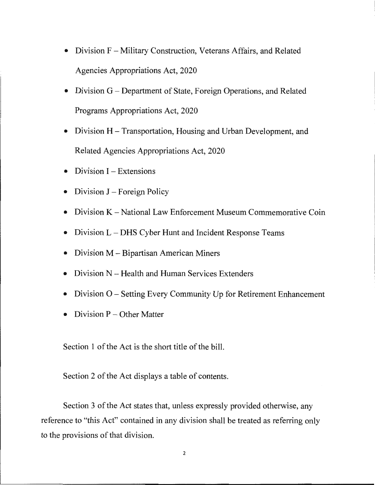- Division F Military Construction, Veterans Affairs, and Related Agencies Appropriations Act, 2020
- Division G Department of State, Foreign Operations, and Related Programs Appropriations Act, 2020
- Division H Transportation, Housing and Urban Development, and Related Agencies Appropriations Act, 2020
- Division  $I -$  Extensions
- Division  $J$  Foreign Policy
- Division K National Law Enforcement Museum Commemorative Coin
- Division L DHS Cyber Hunt and Incident Response Teams
- Division M Bipartisan American Miners
- Division N Health and Human Services Extenders
- Division O Setting Every Community Up for Retirement Enhancement
- $Division P Other Matter$

Section 1 of the Act is the short title of the bill.

Section 2 of the Act displays a table of contents.

Section 3 of the Act states that, unless expressly provided otherwise, any reference to "this Act" contained in any division shall be treated as referring only to the provisions of that division.